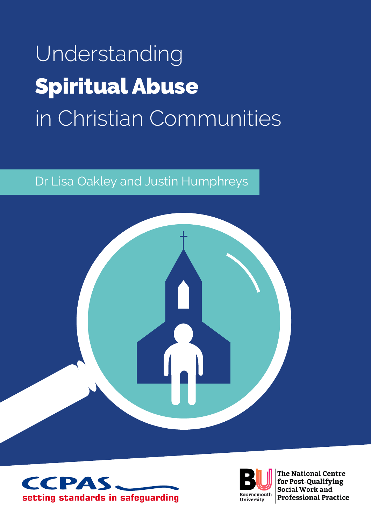# Understanding Spiritual Abuse in Christian Communities

### Dr Lisa Oakley and Justin Humphreys







The National Centre for Post-Qualifying Social Work and **Professional Practice**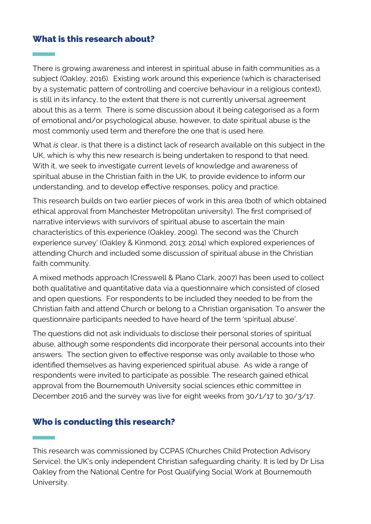#### What is this research about?

There is growing awareness and interest in spiritual abuse in faith communities as a subject (Oakley, 2016). Existing work around this experience (which is characterised by a systematic pattern of controlling and coercive behaviour in a religious context), is still in its infancy, to the extent that there is not currently universal agreement about this as a term. There is some discussion about it being categorised as a form of emotional and/or psychological abuse, however, to date spiritual abuse is the most commonly used term and therefore the one that is used here.

What is clear, is that there is a distinct lack of research available on this subject in the UK, which is why this new research is being undertaken to respond to that need. With it, we seek to investigate current levels of knowledge and awareness of spiritual abuse in the Christian faith in the UK, to provide evidence to inform our understanding, and to develop effective responses, policy and practice.

This research builds on two earlier pieces of work in this area (both of which obtained ethical approval from Manchester Metropolitan university). The first comprised of narrative interviews with survivors of spiritual abuse to ascertain the main characteristics of this experience (Oakley, 2009). The second was the 'Church experience survey' (Oakley & Kinmond, 2013; 2014) which explored experiences of attending Church and included some discussion of spiritual abuse in the Christian faith community.

A mixed methods approach (Cresswell & Plano Clark, 2007) has been used to collect both qualitative and quantitative data via a questionnaire which consisted of closed and open questions. For respondents to be included they needed to be from the Christian faith and attend Church or belong to a Christian organisation. To answer the questionnaire participants needed to have heard of the term 'spiritual abuse'.

The questions did not ask individuals to disclose their personal stories of spiritual abuse, although some respondents did incorporate their personal accounts into their answers. The section given to effective response was only available to those who identified themselves as having experienced spiritual abuse. As wide a range of respondents were invited to participate as possible. The research gained ethical approval from the Bournemouth University social sciences ethic committee in December 2016 and the survey was live for eight weeks from 30/1/17 to 30/3/17.

#### Who is conducting this research?

This research was commissioned by CCPAS (Churches Child Protection Advisory Service), the UK's only independent Christian safeguarding charity. It is led by Dr Lisa Oakley from the National Centre for Post Qualifying Social Work at Bournemouth University.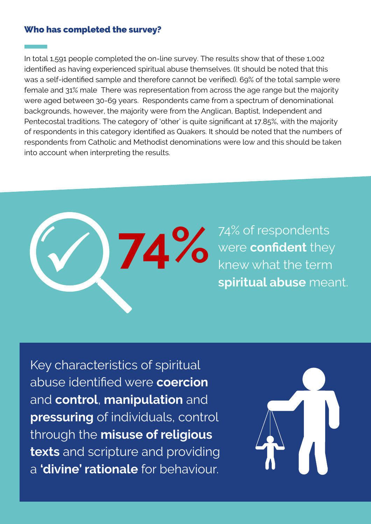#### Who has completed the survey?

In total 1,591 people completed the on-line survey. The results show that of these 1,002 identified as having experienced spiritual abuse themselves. (It should be noted that this was a self-identified sample and therefore cannot be verified). 69% of the total sample were female and 31% male There was representation from across the age range but the majority were aged between 30-69 years. Respondents came from a spectrum of denominational backgrounds, however, the majority were from the Anglican, Baptist, Independent and Pentecostal traditions. The category of 'other' is quite significant at 17.85%, with the majority of respondents in this category identified as Quakers. It should be noted that the numbers of respondents from Catholic and Methodist denominations were low and this should be taken into account when interpreting the results.



74% of respondents were **confident** they knew what the term spiritual abuse meant.

Key characteristics of spiritual abuse identified were **coercion** and control, manipulation and pressuring of individuals, control through the misuse of religious texts and scripture and providing a 'divine' rationale for behaviour.

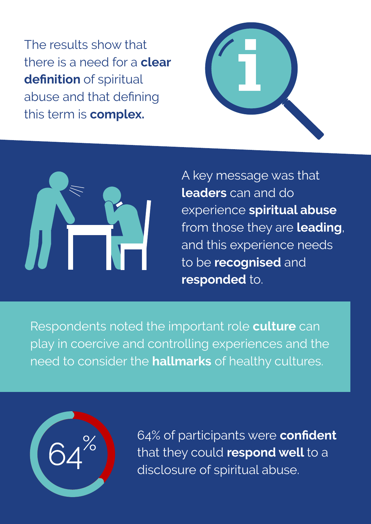The results show that there is a need for a **clear** definition of spiritual abuse and that defining this term is **complex.** 





A key message was that leaders can and do experience spiritual abuse from those they are leading, and this experience needs to be **recognised** and responded to.

Respondents noted the important role culture can play in coercive and controlling experiences and the need to consider the **hallmarks** of healthy cultures.



64% of participants were confident that they could respond well to a disclosure of spiritual abuse.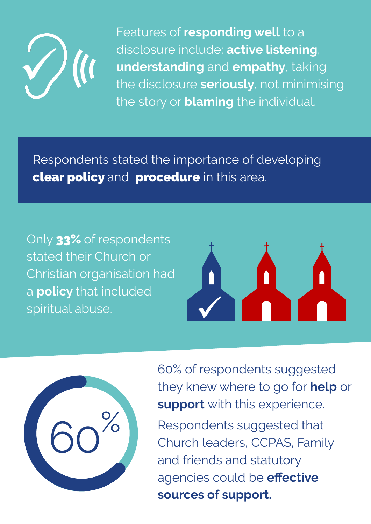

Features of responding well to a disclosure include: active listening, understanding and empathy, taking the disclosure seriously, not minimising the story or **blaming** the individual.

Respondents stated the importance of developing clear policy and procedure in this area.

Only 33% of respondents stated their Church or Christian organisation had a **policy** that included spiritual abuse.





60% of respondents suggested they knew where to go for **help** or support with this experience.

Respondents suggested that Church leaders, CCPAS, Family and friends and statutory agencies could be **effective** sources of support.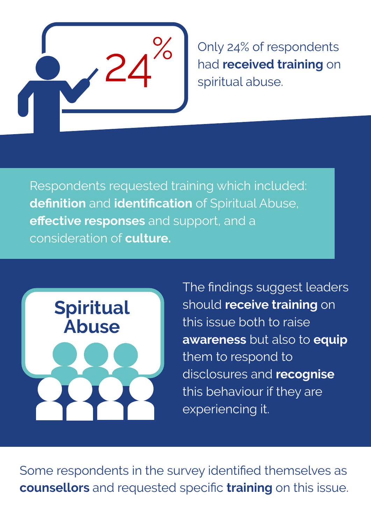

Only 24% of respondents had **received training** on spiritual abuse.

Respondents requested training which included: definition and identification of Spiritual Abuse, effective responses and support, and a consideration of **culture**.



The findings suggest leaders should receive training on this issue both to raise awareness but also to equip them to respond to disclosures and recognise this behaviour if they are experiencing it.

Some respondents in the survey identified themselves as counsellors and requested specific training on this issue.